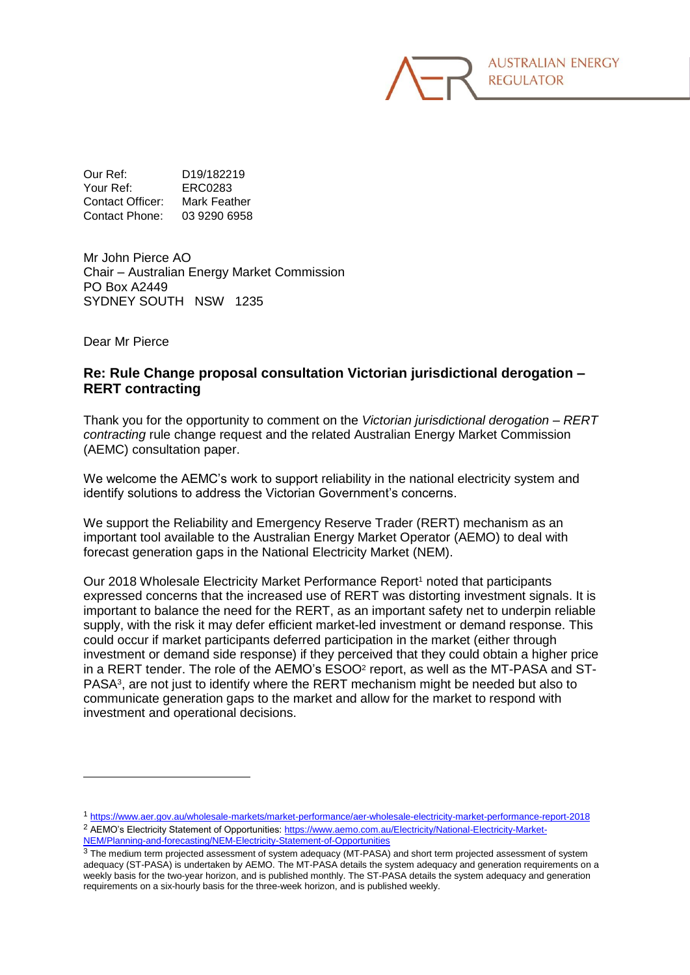Our Ref: D19/182219 Your Ref: ERC0283 Contact Officer: Mark Feather Contact Phone: 03 9290 6958

Mr John Pierce AO Chair – Australian Energy Market Commission PO Box A2449 SYDNEY SOUTH NSW 1235

Dear Mr Pierce

-

## **Re: Rule Change proposal consultation Victorian jurisdictional derogation – RERT contracting**

Thank you for the opportunity to comment on the *Victorian jurisdictional derogation – RERT contracting* rule change request and the related Australian Energy Market Commission (AEMC) consultation paper.

We welcome the AEMC's work to support reliability in the national electricity system and identify solutions to address the Victorian Government's concerns.

We support the Reliability and Emergency Reserve Trader (RERT) mechanism as an important tool available to the Australian Energy Market Operator (AEMO) to deal with forecast generation gaps in the National Electricity Market (NEM).

Our 2018 Wholesale Electricity Market Performance Report<sup>1</sup> noted that participants expressed concerns that the increased use of RERT was distorting investment signals. It is important to balance the need for the RERT, as an important safety net to underpin reliable supply, with the risk it may defer efficient market-led investment or demand response. This could occur if market participants deferred participation in the market (either through investment or demand side response) if they perceived that they could obtain a higher price in a RERT tender. The role of the AEMO's ESOO<sup>2</sup> report, as well as the MT-PASA and ST-PASA<sup>3</sup> , are not just to identify where the RERT mechanism might be needed but also to communicate generation gaps to the market and allow for the market to respond with investment and operational decisions.

<sup>1</sup> <https://www.aer.gov.au/wholesale-markets/market-performance/aer-wholesale-electricity-market-performance-report-2018> <sup>2</sup> AEMO's Electricity Statement of Opportunities[: https://www.aemo.com.au/Electricity/National-Electricity-Market-](https://www.aemo.com.au/Electricity/National-Electricity-Market-NEM/Planning-and-forecasting/NEM-Electricity-Statement-of-Opportunities)[NEM/Planning-and-forecasting/NEM-Electricity-Statement-of-Opportunities](https://www.aemo.com.au/Electricity/National-Electricity-Market-NEM/Planning-and-forecasting/NEM-Electricity-Statement-of-Opportunities)

<sup>&</sup>lt;sup>3</sup> The medium term projected assessment of system adequacy (MT-PASA) and short term projected assessment of system adequacy (ST-PASA) is undertaken by AEMO. The MT-PASA details the system adequacy and generation requirements on a weekly basis for the two-year horizon, and is published monthly. The ST-PASA details the system adequacy and generation requirements on a six-hourly basis for the three-week horizon, and is published weekly.